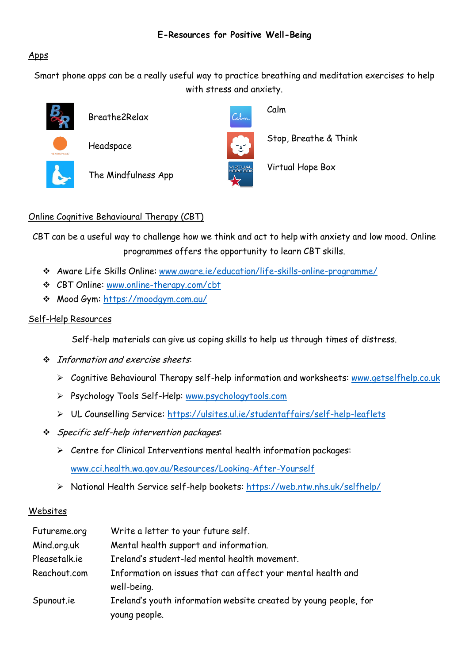### Apps

Smart phone apps can be a really useful way to practice breathing and meditation exercises to help with stress and anxiety.

Calv



Breathe2Relax





The Mindfulness App

Calm

Stop, Breathe & Think

Virtual Hope Box

## Online Cognitive Behavioural Therapy (CBT)

CBT can be a useful way to challenge how we think and act to help with anxiety and low mood. Online programmes offers the opportunity to learn CBT skills.

- Aware Life Skills Online: [www.aware.ie/education/life-skills-online-programme/](http://www.aware.ie/education/life-skills-online-programme/)
- CBT Online: [www.online-therapy.com/cbt](http://www.online-therapy.com/cbt)
- Mood Gym:<https://moodgym.com.au/>

#### Self-Help Resources

Self-help materials can give us coping skills to help us through times of distress.

- $\div$  Information and exercise sheets:
	- Cognitive Behavioural Therapy self-help information and worksheets: [www.getselfhelp.co.uk](http://www.getselfhelp.co.uk/)
	- Psychology Tools Self-Help: [www.psychologytools.com](http://www.psychologytools.com/)
	- UL Counselling Service:<https://ulsites.ul.ie/studentaffairs/self-help-leaflets>
- ❖ Specific self-help intervention packages:
	- $\triangleright$  Centre for Clinical Interventions mental health information packages:

[www.cci.health.wa.gov.au/Resources/Looking-After-Yourself](http://www.cci.health.wa.gov.au/Resources/Looking-After-Yourself)

> National Health Service self-help bookets:<https://web.ntw.nhs.uk/selfhelp/>

#### Websites

| Futureme.org  | Write a letter to your future self.                                               |
|---------------|-----------------------------------------------------------------------------------|
| Mind.org.uk   | Mental health support and information.                                            |
| Pleasetalk.ie | Ireland's student-led mental health movement.                                     |
| Reachout.com  | Information on issues that can affect your mental health and<br>well-being.       |
| Spunout.ie    | Ireland's youth information website created by young people, for<br>young people. |